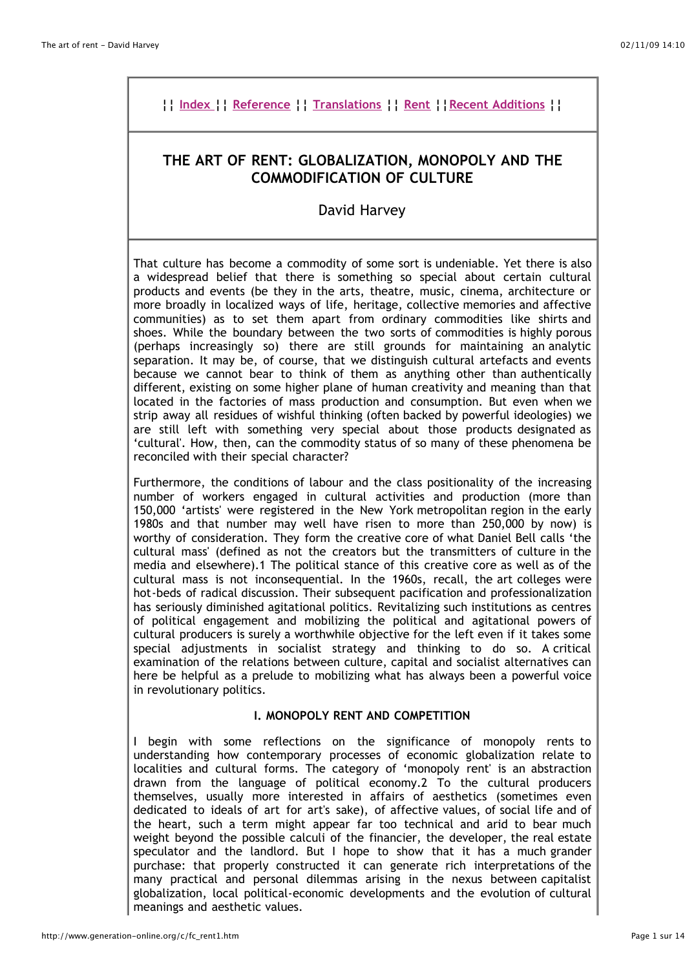**!! Index !! Reference !! Translations !! Rent !!Recent Additions !!**

# **THE ART OF RENT: GLOBALIZATION, MONOPOLY AND THE COMMODIFICATION OF CULTURE**

## David Harvey

That culture has become a commodity of some sort is undeniable. Yet there is also a widespread belief that there is something so special about certain cultural products and events (be they in the arts, theatre, music, cinema, architecture or more broadly in localized ways of life, heritage, collective memories and affective communities) as to set them apart from ordinary commodities like shirts and shoes. While the boundary between the two sorts of commodities is highly porous (perhaps increasingly so) there are still grounds for maintaining an analytic separation. It may be, of course, that we distinguish cultural artefacts and events because we cannot bear to think of them as anything other than authentically different, existing on some higher plane of human creativity and meaning than that located in the factories of mass production and consumption. But even when we strip away all residues of wishful thinking (often backed by powerful ideologies) we are still left with something very special about those products designated as 'cultural'. How, then, can the commodity status of so many of these phenomena be reconciled with their special character?

Furthermore, the conditions of labour and the class positionality of the increasing number of workers engaged in cultural activities and production (more than 150,000 'artists' were registered in the New York metropolitan region in the early 1980s and that number may well have risen to more than 250,000 by now) is worthy of consideration. They form the creative core of what Daniel Bell calls 'the cultural mass' (defined as not the creators but the transmitters of culture in the media and elsewhere).1 The political stance of this creative core as well as of the cultural mass is not inconsequential. In the 1960s, recall, the art colleges were hot-beds of radical discussion. Their subsequent pacification and professionalization has seriously diminished agitational politics. Revitalizing such institutions as centres of political engagement and mobilizing the political and agitational powers of cultural producers is surely a worthwhile objective for the left even if it takes some special adjustments in socialist strategy and thinking to do so. A critical examination of the relations between culture, capital and socialist alternatives can here be helpful as a prelude to mobilizing what has always been a powerful voice in revolutionary politics.

## **I. MONOPOLY RENT AND COMPETITION**

I begin with some reflections on the significance of monopoly rents to understanding how contemporary processes of economic globalization relate to localities and cultural forms. The category of 'monopoly rent' is an abstraction drawn from the language of political economy.2 To the cultural producers themselves, usually more interested in affairs of aesthetics (sometimes even dedicated to ideals of art for art's sake), of affective values, of social life and of the heart, such a term might appear far too technical and arid to bear much weight beyond the possible calculi of the financier, the developer, the real estate speculator and the landlord. But I hope to show that it has a much grander purchase: that properly constructed it can generate rich interpretations of the many practical and personal dilemmas arising in the nexus between capitalist globalization, local political-economic developments and the evolution of cultural meanings and aesthetic values.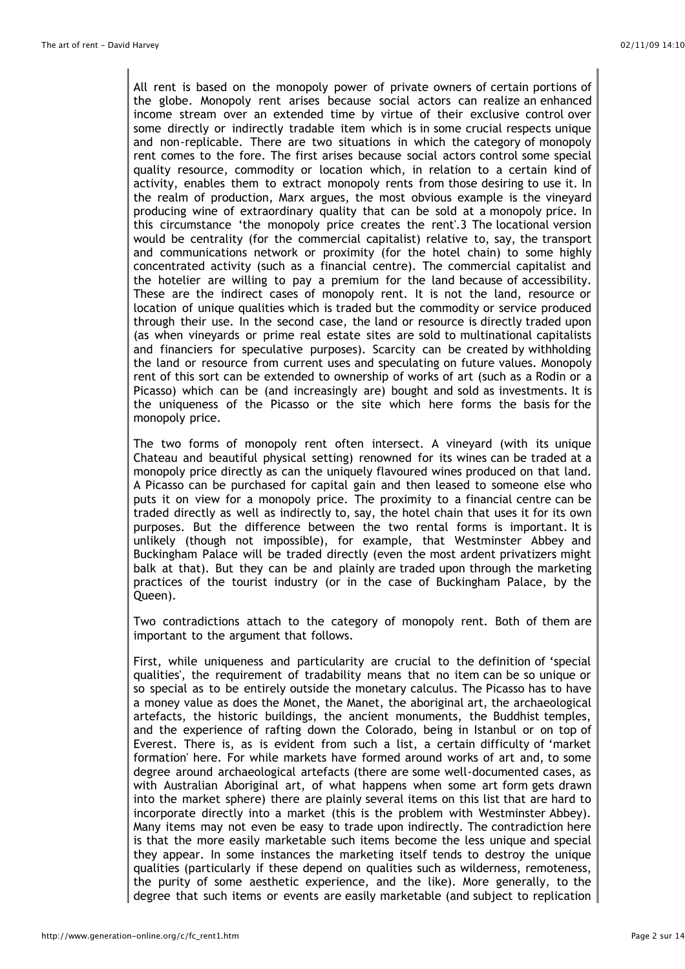All rent is based on the monopoly power of private owners of certain portions of the globe. Monopoly rent arises because social actors can realize an enhanced income stream over an extended time by virtue of their exclusive control over some directly or indirectly tradable item which is in some crucial respects unique and non-replicable. There are two situations in which the category of monopoly rent comes to the fore. The first arises because social actors control some special quality resource, commodity or location which, in relation to a certain kind of activity, enables them to extract monopoly rents from those desiring to use it. In the realm of production, Marx argues, the most obvious example is the vineyard producing wine of extraordinary quality that can be sold at a monopoly price. In this circumstance 'the monopoly price creates the rent'.3 The locational version would be centrality (for the commercial capitalist) relative to, say, the transport and communications network or proximity (for the hotel chain) to some highly concentrated activity (such as a financial centre). The commercial capitalist and the hotelier are willing to pay a premium for the land because of accessibility. These are the indirect cases of monopoly rent. It is not the land, resource or location of unique qualities which is traded but the commodity or service produced through their use. In the second case, the land or resource is directly traded upon (as when vineyards or prime real estate sites are sold to multinational capitalists and financiers for speculative purposes). Scarcity can be created by withholding the land or resource from current uses and speculating on future values. Monopoly rent of this sort can be extended to ownership of works of art (such as a Rodin or a Picasso) which can be (and increasingly are) bought and sold as investments. It is the uniqueness of the Picasso or the site which here forms the basis for the monopoly price.

The two forms of monopoly rent often intersect. A vineyard (with its unique Chateau and beautiful physical setting) renowned for its wines can be traded at a monopoly price directly as can the uniquely flavoured wines produced on that land. A Picasso can be purchased for capital gain and then leased to someone else who puts it on view for a monopoly price. The proximity to a financial centre can be traded directly as well as indirectly to, say, the hotel chain that uses it for its own purposes. But the difference between the two rental forms is important. It is unlikely (though not impossible), for example, that Westminster Abbey and Buckingham Palace will be traded directly (even the most ardent privatizers might balk at that). But they can be and plainly are traded upon through the marketing practices of the tourist industry (or in the case of Buckingham Palace, by the Queen).

Two contradictions attach to the category of monopoly rent. Both of them are important to the argument that follows.

First, while uniqueness and particularity are crucial to the definition of 'special qualities', the requirement of tradability means that no item can be so unique or so special as to be entirely outside the monetary calculus. The Picasso has to have a money value as does the Monet, the Manet, the aboriginal art, the archaeological artefacts, the historic buildings, the ancient monuments, the Buddhist temples, and the experience of rafting down the Colorado, being in Istanbul or on top of Everest. There is, as is evident from such a list, a certain difficulty of 'market formation' here. For while markets have formed around works of art and, to some degree around archaeological artefacts (there are some well-documented cases, as with Australian Aboriginal art, of what happens when some art form gets drawn into the market sphere) there are plainly several items on this list that are hard to incorporate directly into a market (this is the problem with Westminster Abbey). Many items may not even be easy to trade upon indirectly. The contradiction here is that the more easily marketable such items become the less unique and special they appear. In some instances the marketing itself tends to destroy the unique qualities (particularly if these depend on qualities such as wilderness, remoteness, the purity of some aesthetic experience, and the like). More generally, to the degree that such items or events are easily marketable (and subject to replication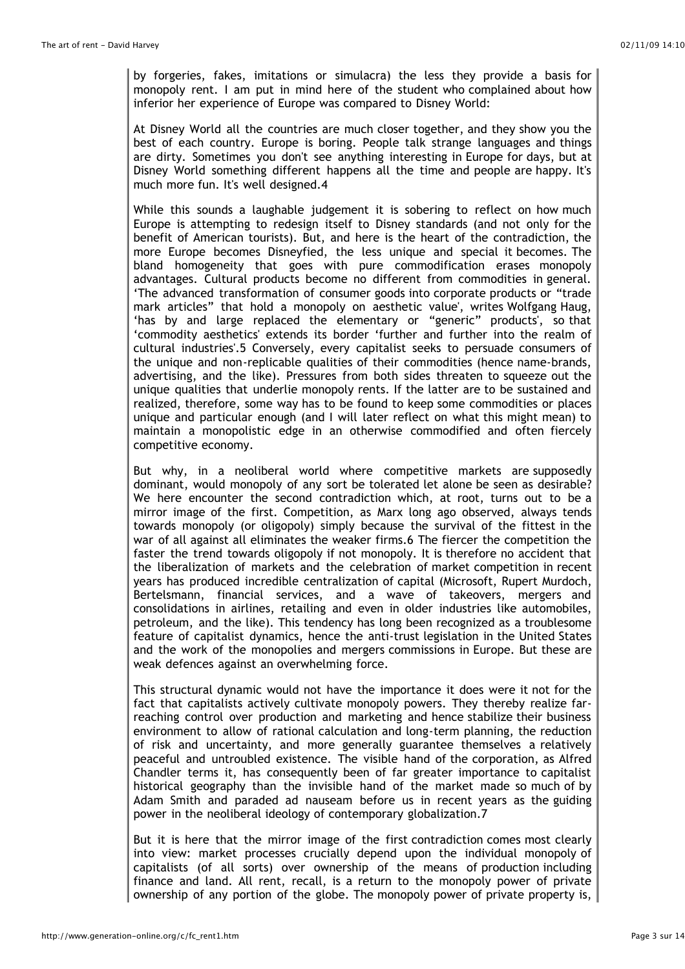by forgeries, fakes, imitations or simulacra) the less they provide a basis for monopoly rent. I am put in mind here of the student who complained about how inferior her experience of Europe was compared to Disney World:

At Disney World all the countries are much closer together, and they show you the best of each country. Europe is boring. People talk strange languages and things are dirty. Sometimes you don't see anything interesting in Europe for days, but at Disney World something different happens all the time and people are happy. It's much more fun. It's well designed.4

While this sounds a laughable judgement it is sobering to reflect on how much Europe is attempting to redesign itself to Disney standards (and not only for the benefit of American tourists). But, and here is the heart of the contradiction, the more Europe becomes Disneyfied, the less unique and special it becomes. The bland homogeneity that goes with pure commodification erases monopoly advantages. Cultural products become no different from commodities in general. 'The advanced transformation of consumer goods into corporate products or "trade mark articles" that hold a monopoly on aesthetic value', writes Wolfgang Haug, 'has by and large replaced the elementary or "generic" products', so that 'commodity aesthetics' extends its border 'further and further into the realm of cultural industries'.5 Conversely, every capitalist seeks to persuade consumers of the unique and non-replicable qualities of their commodities (hence name-brands, advertising, and the like). Pressures from both sides threaten to squeeze out the unique qualities that underlie monopoly rents. If the latter are to be sustained and realized, therefore, some way has to be found to keep some commodities or places unique and particular enough (and I will later reflect on what this might mean) to maintain a monopolistic edge in an otherwise commodified and often fiercely competitive economy.

But why, in a neoliberal world where competitive markets are supposedly dominant, would monopoly of any sort be tolerated let alone be seen as desirable? We here encounter the second contradiction which, at root, turns out to be a mirror image of the first. Competition, as Marx long ago observed, always tends towards monopoly (or oligopoly) simply because the survival of the fittest in the war of all against all eliminates the weaker firms.6 The fiercer the competition the faster the trend towards oligopoly if not monopoly. It is therefore no accident that the liberalization of markets and the celebration of market competition in recent years has produced incredible centralization of capital (Microsoft, Rupert Murdoch, Bertelsmann, financial services, and a wave of takeovers, mergers and consolidations in airlines, retailing and even in older industries like automobiles, petroleum, and the like). This tendency has long been recognized as a troublesome feature of capitalist dynamics, hence the anti-trust legislation in the United States and the work of the monopolies and mergers commissions in Europe. But these are weak defences against an overwhelming force.

This structural dynamic would not have the importance it does were it not for the fact that capitalists actively cultivate monopoly powers. They thereby realize farreaching control over production and marketing and hence stabilize their business environment to allow of rational calculation and long-term planning, the reduction of risk and uncertainty, and more generally guarantee themselves a relatively peaceful and untroubled existence. The visible hand of the corporation, as Alfred Chandler terms it, has consequently been of far greater importance to capitalist historical geography than the invisible hand of the market made so much of by Adam Smith and paraded ad nauseam before us in recent years as the guiding power in the neoliberal ideology of contemporary globalization.7

But it is here that the mirror image of the first contradiction comes most clearly into view: market processes crucially depend upon the individual monopoly of capitalists (of all sorts) over ownership of the means of production including finance and land. All rent, recall, is a return to the monopoly power of private ownership of any portion of the globe. The monopoly power of private property is,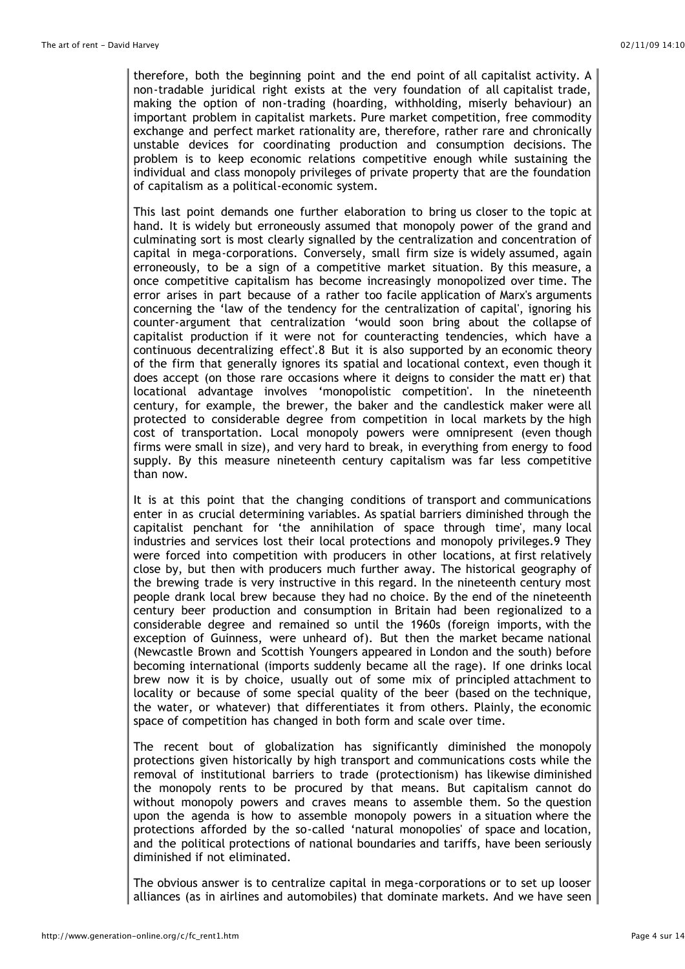therefore, both the beginning point and the end point of all capitalist activity. A non-tradable juridical right exists at the very foundation of all capitalist trade, making the option of non-trading (hoarding, withholding, miserly behaviour) an important problem in capitalist markets. Pure market competition, free commodity exchange and perfect market rationality are, therefore, rather rare and chronically unstable devices for coordinating production and consumption decisions. The problem is to keep economic relations competitive enough while sustaining the individual and class monopoly privileges of private property that are the foundation of capitalism as a political-economic system.

This last point demands one further elaboration to bring us closer to the topic at hand. It is widely but erroneously assumed that monopoly power of the grand and culminating sort is most clearly signalled by the centralization and concentration of capital in mega-corporations. Conversely, small firm size is widely assumed, again erroneously, to be a sign of a competitive market situation. By this measure, a once competitive capitalism has become increasingly monopolized over time. The error arises in part because of a rather too facile application of Marx's arguments concerning the 'law of the tendency for the centralization of capital', ignoring his counter-argument that centralization 'would soon bring about the collapse of capitalist production if it were not for counteracting tendencies, which have a continuous decentralizing effect'.8 But it is also supported by an economic theory of the firm that generally ignores its spatial and locational context, even though it does accept (on those rare occasions where it deigns to consider the matt er) that locational advantage involves 'monopolistic competition'. In the nineteenth century, for example, the brewer, the baker and the candlestick maker were all protected to considerable degree from competition in local markets by the high cost of transportation. Local monopoly powers were omnipresent (even though firms were small in size), and very hard to break, in everything from energy to food supply. By this measure nineteenth century capitalism was far less competitive than now.

It is at this point that the changing conditions of transport and communications enter in as crucial determining variables. As spatial barriers diminished through the capitalist penchant for 'the annihilation of space through time', many local industries and services lost their local protections and monopoly privileges.9 They were forced into competition with producers in other locations, at first relatively close by, but then with producers much further away. The historical geography of the brewing trade is very instructive in this regard. In the nineteenth century most people drank local brew because they had no choice. By the end of the nineteenth century beer production and consumption in Britain had been regionalized to a considerable degree and remained so until the 1960s (foreign imports, with the exception of Guinness, were unheard of). But then the market became national (Newcastle Brown and Scottish Youngers appeared in London and the south) before becoming international (imports suddenly became all the rage). If one drinks local brew now it is by choice, usually out of some mix of principled attachment to locality or because of some special quality of the beer (based on the technique, the water, or whatever) that differentiates it from others. Plainly, the economic space of competition has changed in both form and scale over time.

The recent bout of globalization has significantly diminished the monopoly protections given historically by high transport and communications costs while the removal of institutional barriers to trade (protectionism) has likewise diminished the monopoly rents to be procured by that means. But capitalism cannot do without monopoly powers and craves means to assemble them. So the question upon the agenda is how to assemble monopoly powers in a situation where the protections afforded by the so-called 'natural monopolies' of space and location, and the political protections of national boundaries and tariffs, have been seriously diminished if not eliminated.

The obvious answer is to centralize capital in mega-corporations or to set up looser alliances (as in airlines and automobiles) that dominate markets. And we have seen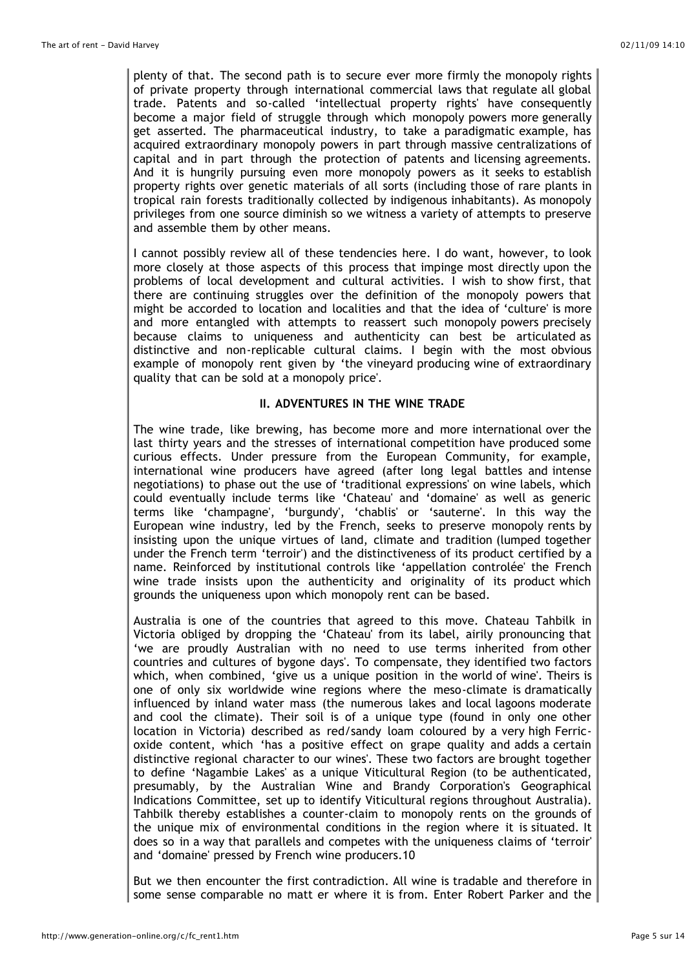plenty of that. The second path is to secure ever more firmly the monopoly rights of private property through international commercial laws that regulate all global trade. Patents and so-called 'intellectual property rights' have consequently become a major field of struggle through which monopoly powers more generally get asserted. The pharmaceutical industry, to take a paradigmatic example, has acquired extraordinary monopoly powers in part through massive centralizations of capital and in part through the protection of patents and licensing agreements. And it is hungrily pursuing even more monopoly powers as it seeks to establish property rights over genetic materials of all sorts (including those of rare plants in tropical rain forests traditionally collected by indigenous inhabitants). As monopoly privileges from one source diminish so we witness a variety of attempts to preserve and assemble them by other means.

I cannot possibly review all of these tendencies here. I do want, however, to look more closely at those aspects of this process that impinge most directly upon the problems of local development and cultural activities. I wish to show first, that there are continuing struggles over the definition of the monopoly powers that might be accorded to location and localities and that the idea of 'culture' is more and more entangled with attempts to reassert such monopoly powers precisely because claims to uniqueness and authenticity can best be articulated as distinctive and non-replicable cultural claims. I begin with the most obvious example of monopoly rent given by 'the vineyard producing wine of extraordinary quality that can be sold at a monopoly price'.

## **II. ADVENTURES IN THE WINE TRADE**

The wine trade, like brewing, has become more and more international over the last thirty years and the stresses of international competition have produced some curious effects. Under pressure from the European Community, for example, international wine producers have agreed (after long legal battles and intense negotiations) to phase out the use of 'traditional expressions' on wine labels, which could eventually include terms like 'Chateau' and 'domaine' as well as generic terms like 'champagne', 'burgundy', 'chablis' or 'sauterne'. In this way the European wine industry, led by the French, seeks to preserve monopoly rents by insisting upon the unique virtues of land, climate and tradition (lumped together under the French term 'terroir') and the distinctiveness of its product certified by a name. Reinforced by institutional controls like 'appellation controlée' the French wine trade insists upon the authenticity and originality of its product which grounds the uniqueness upon which monopoly rent can be based.

Australia is one of the countries that agreed to this move. Chateau Tahbilk in Victoria obliged by dropping the 'Chateau' from its label, airily pronouncing that 'we are proudly Australian with no need to use terms inherited from other countries and cultures of bygone days'. To compensate, they identified two factors which, when combined, 'give us a unique position in the world of wine'. Theirs is one of only six worldwide wine regions where the meso-climate is dramatically influenced by inland water mass (the numerous lakes and local lagoons moderate and cool the climate). Their soil is of a unique type (found in only one other location in Victoria) described as red/sandy loam coloured by a very high Ferricoxide content, which 'has a positive effect on grape quality and adds a certain distinctive regional character to our wines'. These two factors are brought together to define 'Nagambie Lakes' as a unique Viticultural Region (to be authenticated, presumably, by the Australian Wine and Brandy Corporation's Geographical Indications Committee, set up to identify Viticultural regions throughout Australia). Tahbilk thereby establishes a counter-claim to monopoly rents on the grounds of the unique mix of environmental conditions in the region where it is situated. It does so in a way that parallels and competes with the uniqueness claims of 'terroir' and 'domaine' pressed by French wine producers.10

But we then encounter the first contradiction. All wine is tradable and therefore in some sense comparable no matt er where it is from. Enter Robert Parker and the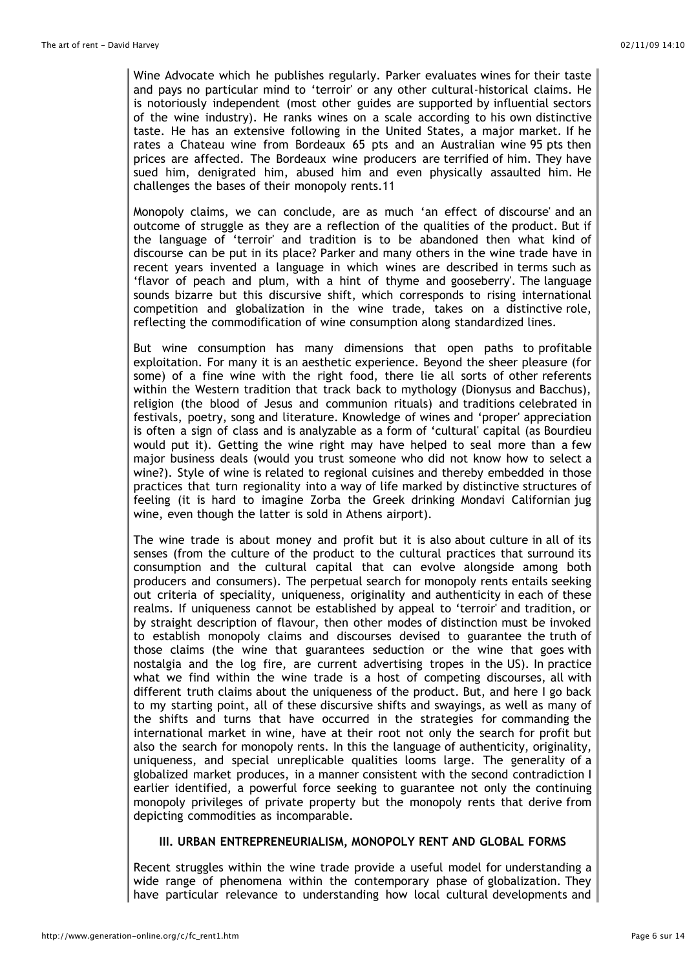Wine Advocate which he publishes regularly. Parker evaluates wines for their taste and pays no particular mind to 'terroir' or any other cultural-historical claims. He is notoriously independent (most other guides are supported by influential sectors of the wine industry). He ranks wines on a scale according to his own distinctive taste. He has an extensive following in the United States, a major market. If he rates a Chateau wine from Bordeaux 65 pts and an Australian wine 95 pts then prices are affected. The Bordeaux wine producers are terrified of him. They have sued him, denigrated him, abused him and even physically assaulted him. He challenges the bases of their monopoly rents.11

Monopoly claims, we can conclude, are as much 'an effect of discourse' and an outcome of struggle as they are a reflection of the qualities of the product. But if the language of 'terroir' and tradition is to be abandoned then what kind of discourse can be put in its place? Parker and many others in the wine trade have in recent years invented a language in which wines are described in terms such as 'flavor of peach and plum, with a hint of thyme and gooseberry'. The language sounds bizarre but this discursive shift, which corresponds to rising international competition and globalization in the wine trade, takes on a distinctive role, reflecting the commodification of wine consumption along standardized lines.

But wine consumption has many dimensions that open paths to profitable exploitation. For many it is an aesthetic experience. Beyond the sheer pleasure (for some) of a fine wine with the right food, there lie all sorts of other referents within the Western tradition that track back to mythology (Dionysus and Bacchus), religion (the blood of Jesus and communion rituals) and traditions celebrated in festivals, poetry, song and literature. Knowledge of wines and 'proper' appreciation is often a sign of class and is analyzable as a form of 'cultural' capital (as Bourdieu would put it). Getting the wine right may have helped to seal more than a few major business deals (would you trust someone who did not know how to select a wine?). Style of wine is related to regional cuisines and thereby embedded in those practices that turn regionality into a way of life marked by distinctive structures of feeling (it is hard to imagine Zorba the Greek drinking Mondavi Californian jug wine, even though the latter is sold in Athens airport).

The wine trade is about money and profit but it is also about culture in all of its senses (from the culture of the product to the cultural practices that surround its consumption and the cultural capital that can evolve alongside among both producers and consumers). The perpetual search for monopoly rents entails seeking out criteria of speciality, uniqueness, originality and authenticity in each of these realms. If uniqueness cannot be established by appeal to 'terroir' and tradition, or by straight description of flavour, then other modes of distinction must be invoked to establish monopoly claims and discourses devised to guarantee the truth of those claims (the wine that guarantees seduction or the wine that goes with nostalgia and the log fire, are current advertising tropes in the US). In practice what we find within the wine trade is a host of competing discourses, all with different truth claims about the uniqueness of the product. But, and here I go back to my starting point, all of these discursive shifts and swayings, as well as many of the shifts and turns that have occurred in the strategies for commanding the international market in wine, have at their root not only the search for profit but also the search for monopoly rents. In this the language of authenticity, originality, uniqueness, and special unreplicable qualities looms large. The generality of a globalized market produces, in a manner consistent with the second contradiction I earlier identified, a powerful force seeking to guarantee not only the continuing monopoly privileges of private property but the monopoly rents that derive from depicting commodities as incomparable.

#### **III. URBAN ENTREPRENEURIALISM, MONOPOLY RENT AND GLOBAL FORMS**

Recent struggles within the wine trade provide a useful model for understanding a wide range of phenomena within the contemporary phase of globalization. They have particular relevance to understanding how local cultural developments and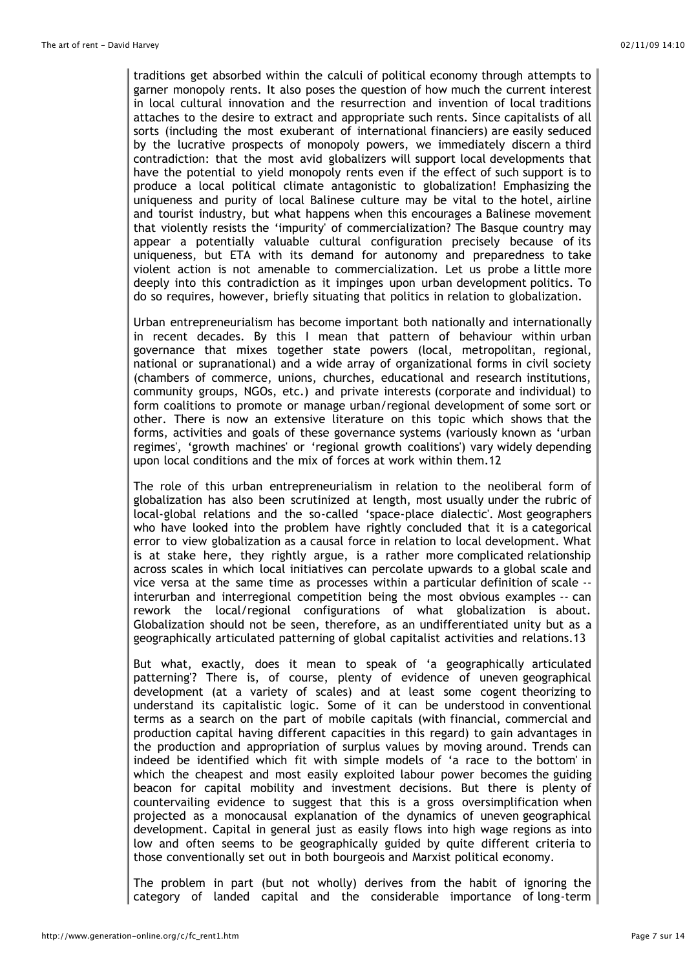traditions get absorbed within the calculi of political economy through attempts to garner monopoly rents. It also poses the question of how much the current interest in local cultural innovation and the resurrection and invention of local traditions attaches to the desire to extract and appropriate such rents. Since capitalists of all sorts (including the most exuberant of international financiers) are easily seduced by the lucrative prospects of monopoly powers, we immediately discern a third contradiction: that the most avid globalizers will support local developments that have the potential to yield monopoly rents even if the effect of such support is to produce a local political climate antagonistic to globalization! Emphasizing the uniqueness and purity of local Balinese culture may be vital to the hotel, airline and tourist industry, but what happens when this encourages a Balinese movement that violently resists the 'impurity' of commercialization? The Basque country may appear a potentially valuable cultural configuration precisely because of its uniqueness, but ETA with its demand for autonomy and preparedness to take violent action is not amenable to commercialization. Let us probe a little more deeply into this contradiction as it impinges upon urban development politics. To do so requires, however, briefly situating that politics in relation to globalization.

Urban entrepreneurialism has become important both nationally and internationally in recent decades. By this I mean that pattern of behaviour within urban governance that mixes together state powers (local, metropolitan, regional, national or supranational) and a wide array of organizational forms in civil society (chambers of commerce, unions, churches, educational and research institutions, community groups, NGOs, etc.) and private interests (corporate and individual) to form coalitions to promote or manage urban/regional development of some sort or other. There is now an extensive literature on this topic which shows that the forms, activities and goals of these governance systems (variously known as 'urban regimes', 'growth machines' or 'regional growth coalitions') vary widely depending upon local conditions and the mix of forces at work within them.12

The role of this urban entrepreneurialism in relation to the neoliberal form of globalization has also been scrutinized at length, most usually under the rubric of local-global relations and the so-called 'space-place dialectic'. Most geographers who have looked into the problem have rightly concluded that it is a categorical error to view globalization as a causal force in relation to local development. What is at stake here, they rightly argue, is a rather more complicated relationship across scales in which local initiatives can percolate upwards to a global scale and vice versa at the same time as processes within a particular definition of scale - interurban and interregional competition being the most obvious examples -- can rework the local/regional configurations of what globalization is about. Globalization should not be seen, therefore, as an undifferentiated unity but as a geographically articulated patterning of global capitalist activities and relations.13

But what, exactly, does it mean to speak of 'a geographically articulated patterning'? There is, of course, plenty of evidence of uneven geographical development (at a variety of scales) and at least some cogent theorizing to understand its capitalistic logic. Some of it can be understood in conventional terms as a search on the part of mobile capitals (with financial, commercial and production capital having different capacities in this regard) to gain advantages in the production and appropriation of surplus values by moving around. Trends can indeed be identified which fit with simple models of 'a race to the bottom' in which the cheapest and most easily exploited labour power becomes the guiding beacon for capital mobility and investment decisions. But there is plenty of countervailing evidence to suggest that this is a gross oversimplification when projected as a monocausal explanation of the dynamics of uneven geographical development. Capital in general just as easily flows into high wage regions as into low and often seems to be geographically guided by quite different criteria to those conventionally set out in both bourgeois and Marxist political economy.

The problem in part (but not wholly) derives from the habit of ignoring the category of landed capital and the considerable importance of long-term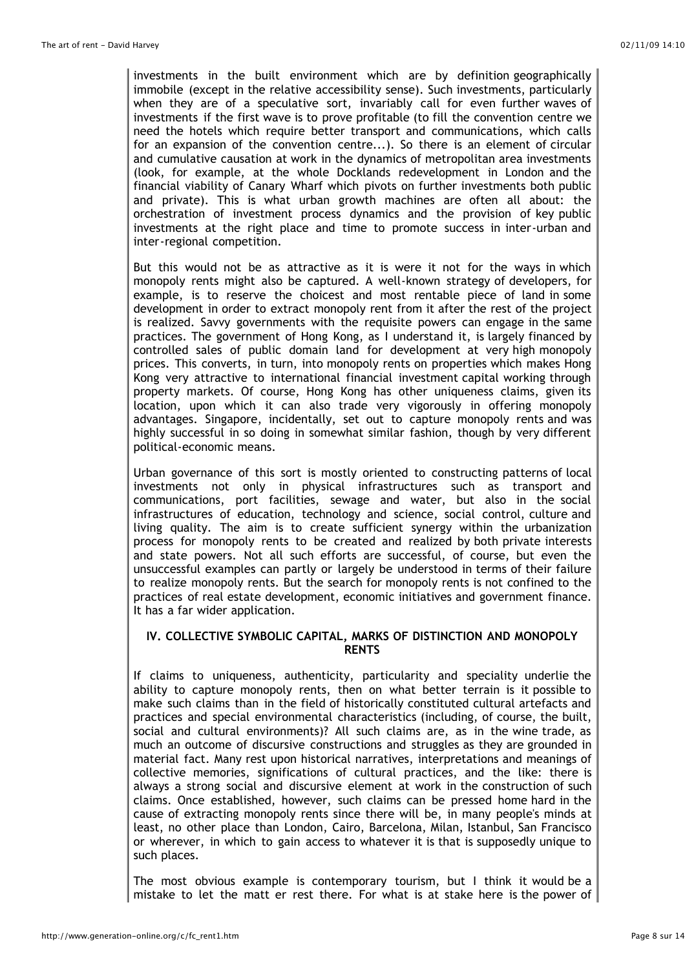investments in the built environment which are by definition geographically immobile (except in the relative accessibility sense). Such investments, particularly when they are of a speculative sort, invariably call for even further waves of investments if the first wave is to prove profitable (to fill the convention centre we need the hotels which require better transport and communications, which calls for an expansion of the convention centre...). So there is an element of circular and cumulative causation at work in the dynamics of metropolitan area investments (look, for example, at the whole Docklands redevelopment in London and the financial viability of Canary Wharf which pivots on further investments both public and private). This is what urban growth machines are often all about: the orchestration of investment process dynamics and the provision of key public investments at the right place and time to promote success in inter-urban and inter-regional competition.

But this would not be as attractive as it is were it not for the ways in which monopoly rents might also be captured. A well-known strategy of developers, for example, is to reserve the choicest and most rentable piece of land in some development in order to extract monopoly rent from it after the rest of the project is realized. Savvy governments with the requisite powers can engage in the same practices. The government of Hong Kong, as I understand it, is largely financed by controlled sales of public domain land for development at very high monopoly prices. This converts, in turn, into monopoly rents on properties which makes Hong Kong very attractive to international financial investment capital working through property markets. Of course, Hong Kong has other uniqueness claims, given its location, upon which it can also trade very vigorously in offering monopoly advantages. Singapore, incidentally, set out to capture monopoly rents and was highly successful in so doing in somewhat similar fashion, though by very different political-economic means.

Urban governance of this sort is mostly oriented to constructing patterns of local investments not only in physical infrastructures such as transport and communications, port facilities, sewage and water, but also in the social infrastructures of education, technology and science, social control, culture and living quality. The aim is to create sufficient synergy within the urbanization process for monopoly rents to be created and realized by both private interests and state powers. Not all such efforts are successful, of course, but even the unsuccessful examples can partly or largely be understood in terms of their failure to realize monopoly rents. But the search for monopoly rents is not confined to the practices of real estate development, economic initiatives and government finance. It has a far wider application.

## **IV. COLLECTIVE SYMBOLIC CAPITAL, MARKS OF DISTINCTION AND MONOPOLY RENTS**

If claims to uniqueness, authenticity, particularity and speciality underlie the ability to capture monopoly rents, then on what better terrain is it possible to make such claims than in the field of historically constituted cultural artefacts and practices and special environmental characteristics (including, of course, the built, social and cultural environments)? All such claims are, as in the wine trade, as much an outcome of discursive constructions and struggles as they are grounded in material fact. Many rest upon historical narratives, interpretations and meanings of collective memories, significations of cultural practices, and the like: there is always a strong social and discursive element at work in the construction of such claims. Once established, however, such claims can be pressed home hard in the cause of extracting monopoly rents since there will be, in many people's minds at least, no other place than London, Cairo, Barcelona, Milan, Istanbul, San Francisco or wherever, in which to gain access to whatever it is that is supposedly unique to such places.

The most obvious example is contemporary tourism, but I think it would be a mistake to let the matt er rest there. For what is at stake here is the power of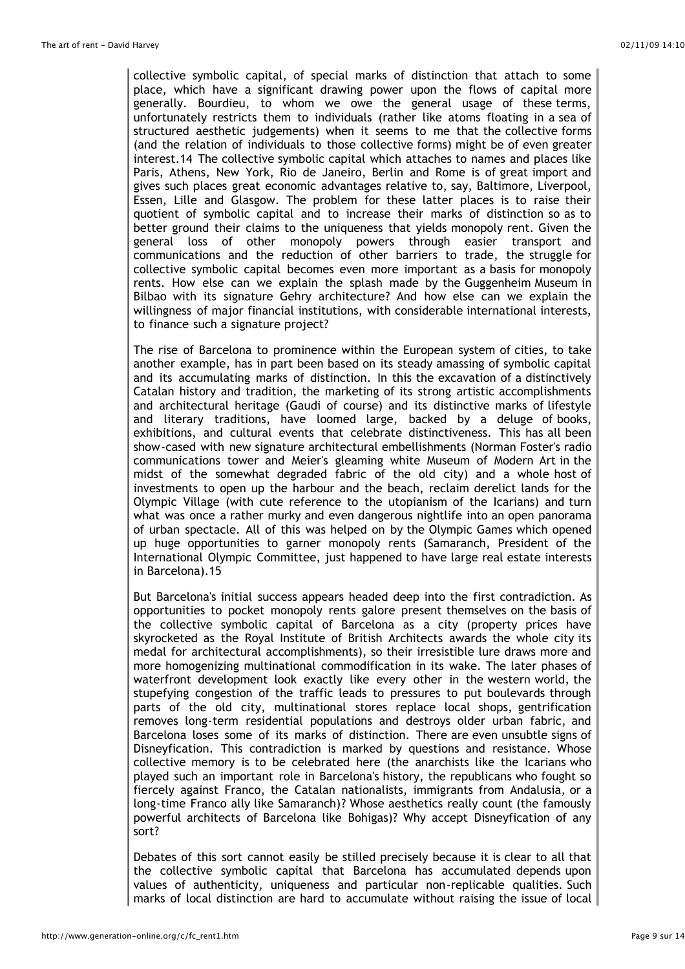collective symbolic capital, of special marks of distinction that attach to some place, which have a significant drawing power upon the flows of capital more generally. Bourdieu, to whom we owe the general usage of these terms, unfortunately restricts them to individuals (rather like atoms floating in a sea of structured aesthetic judgements) when it seems to me that the collective forms (and the relation of individuals to those collective forms) might be of even greater interest.14 The collective symbolic capital which attaches to names and places like Paris, Athens, New York, Rio de Janeiro, Berlin and Rome is of great import and gives such places great economic advantages relative to, say, Baltimore, Liverpool, Essen, Lille and Glasgow. The problem for these latter places is to raise their quotient of symbolic capital and to increase their marks of distinction so as to better ground their claims to the uniqueness that yields monopoly rent. Given the general loss of other monopoly powers through easier transport and communications and the reduction of other barriers to trade, the struggle for collective symbolic capital becomes even more important as a basis for monopoly rents. How else can we explain the splash made by the Guggenheim Museum in Bilbao with its signature Gehry architecture? And how else can we explain the willingness of major financial institutions, with considerable international interests, to finance such a signature project?

The rise of Barcelona to prominence within the European system of cities, to take another example, has in part been based on its steady amassing of symbolic capital and its accumulating marks of distinction. In this the excavation of a distinctively Catalan history and tradition, the marketing of its strong artistic accomplishments and architectural heritage (Gaudi of course) and its distinctive marks of lifestyle and literary traditions, have loomed large, backed by a deluge of books, exhibitions, and cultural events that celebrate distinctiveness. This has all been show-cased with new signature architectural embellishments (Norman Foster's radio communications tower and Meier's gleaming white Museum of Modern Art in the midst of the somewhat degraded fabric of the old city) and a whole host of investments to open up the harbour and the beach, reclaim derelict lands for the Olympic Village (with cute reference to the utopianism of the Icarians) and turn what was once a rather murky and even dangerous nightlife into an open panorama of urban spectacle. All of this was helped on by the Olympic Games which opened up huge opportunities to garner monopoly rents (Samaranch, President of the International Olympic Committee, just happened to have large real estate interests in Barcelona).15

But Barcelona's initial success appears headed deep into the first contradiction. As opportunities to pocket monopoly rents galore present themselves on the basis of the collective symbolic capital of Barcelona as a city (property prices have skyrocketed as the Royal Institute of British Architects awards the whole city its medal for architectural accomplishments), so their irresistible lure draws more and more homogenizing multinational commodification in its wake. The later phases of waterfront development look exactly like every other in the western world, the stupefying congestion of the traffic leads to pressures to put boulevards through parts of the old city, multinational stores replace local shops, gentrification removes long-term residential populations and destroys older urban fabric, and Barcelona loses some of its marks of distinction. There are even unsubtle signs of Disneyfication. This contradiction is marked by questions and resistance. Whose collective memory is to be celebrated here (the anarchists like the Icarians who played such an important role in Barcelona's history, the republicans who fought so fiercely against Franco, the Catalan nationalists, immigrants from Andalusia, or a long-time Franco ally like Samaranch)? Whose aesthetics really count (the famously powerful architects of Barcelona like Bohigas)? Why accept Disneyfication of any sort?

Debates of this sort cannot easily be stilled precisely because it is clear to all that the collective symbolic capital that Barcelona has accumulated depends upon values of authenticity, uniqueness and particular non-replicable qualities. Such marks of local distinction are hard to accumulate without raising the issue of local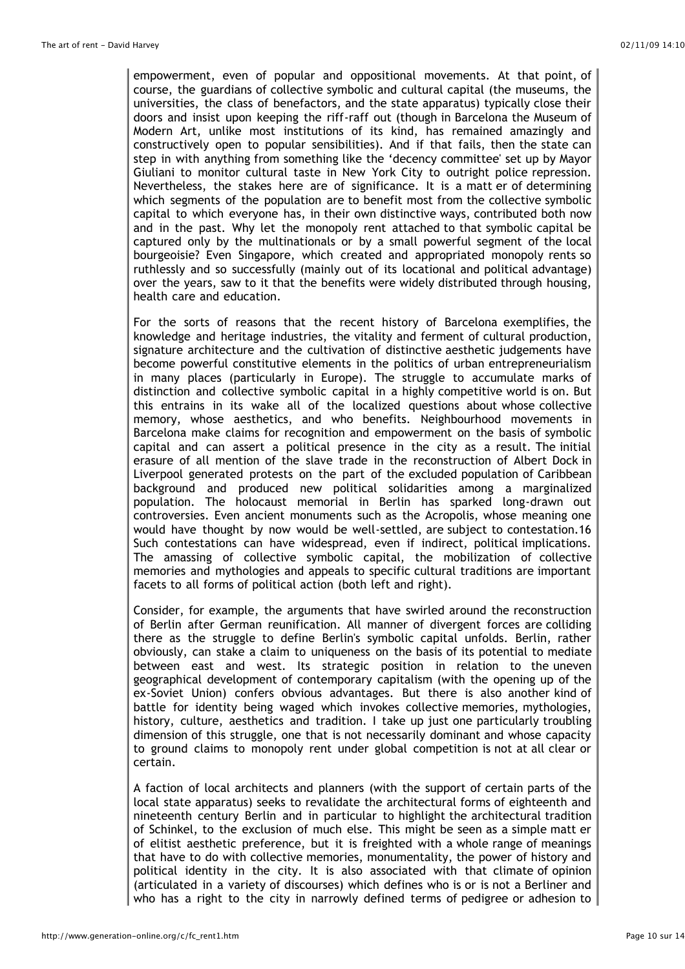empowerment, even of popular and oppositional movements. At that point, of course, the guardians of collective symbolic and cultural capital (the museums, the universities, the class of benefactors, and the state apparatus) typically close their doors and insist upon keeping the riff-raff out (though in Barcelona the Museum of Modern Art, unlike most institutions of its kind, has remained amazingly and constructively open to popular sensibilities). And if that fails, then the state can step in with anything from something like the 'decency committee' set up by Mayor Giuliani to monitor cultural taste in New York City to outright police repression. Nevertheless, the stakes here are of significance. It is a matt er of determining which segments of the population are to benefit most from the collective symbolic capital to which everyone has, in their own distinctive ways, contributed both now and in the past. Why let the monopoly rent attached to that symbolic capital be captured only by the multinationals or by a small powerful segment of the local bourgeoisie? Even Singapore, which created and appropriated monopoly rents so ruthlessly and so successfully (mainly out of its locational and political advantage) over the years, saw to it that the benefits were widely distributed through housing, health care and education.

For the sorts of reasons that the recent history of Barcelona exemplifies, the knowledge and heritage industries, the vitality and ferment of cultural production, signature architecture and the cultivation of distinctive aesthetic judgements have become powerful constitutive elements in the politics of urban entrepreneurialism in many places (particularly in Europe). The struggle to accumulate marks of distinction and collective symbolic capital in a highly competitive world is on. But this entrains in its wake all of the localized questions about whose collective memory, whose aesthetics, and who benefits. Neighbourhood movements in Barcelona make claims for recognition and empowerment on the basis of symbolic capital and can assert a political presence in the city as a result. The initial erasure of all mention of the slave trade in the reconstruction of Albert Dock in Liverpool generated protests on the part of the excluded population of Caribbean background and produced new political solidarities among a marginalized population. The holocaust memorial in Berlin has sparked long-drawn out controversies. Even ancient monuments such as the Acropolis, whose meaning one would have thought by now would be well-settled, are subject to contestation.16 Such contestations can have widespread, even if indirect, political implications. The amassing of collective symbolic capital, the mobilization of collective memories and mythologies and appeals to specific cultural traditions are important facets to all forms of political action (both left and right).

Consider, for example, the arguments that have swirled around the reconstruction of Berlin after German reunification. All manner of divergent forces are colliding there as the struggle to define Berlin's symbolic capital unfolds. Berlin, rather obviously, can stake a claim to uniqueness on the basis of its potential to mediate between east and west. Its strategic position in relation to the uneven geographical development of contemporary capitalism (with the opening up of the ex-Soviet Union) confers obvious advantages. But there is also another kind of battle for identity being waged which invokes collective memories, mythologies, history, culture, aesthetics and tradition. I take up just one particularly troubling dimension of this struggle, one that is not necessarily dominant and whose capacity to ground claims to monopoly rent under global competition is not at all clear or certain.

A faction of local architects and planners (with the support of certain parts of the local state apparatus) seeks to revalidate the architectural forms of eighteenth and nineteenth century Berlin and in particular to highlight the architectural tradition of Schinkel, to the exclusion of much else. This might be seen as a simple matt er of elitist aesthetic preference, but it is freighted with a whole range of meanings that have to do with collective memories, monumentality, the power of history and political identity in the city. It is also associated with that climate of opinion (articulated in a variety of discourses) which defines who is or is not a Berliner and who has a right to the city in narrowly defined terms of pedigree or adhesion to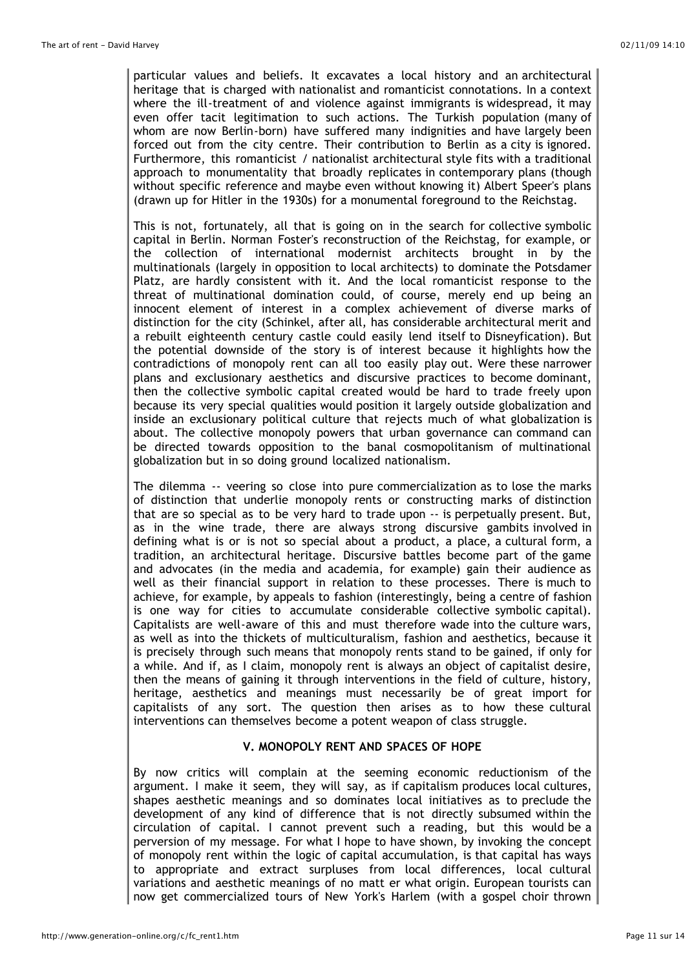particular values and beliefs. It excavates a local history and an architectural heritage that is charged with nationalist and romanticist connotations. In a context where the ill-treatment of and violence against immigrants is widespread, it may even offer tacit legitimation to such actions. The Turkish population (many of whom are now Berlin-born) have suffered many indignities and have largely been forced out from the city centre. Their contribution to Berlin as a city is ignored. Furthermore, this romanticist / nationalist architectural style fits with a traditional approach to monumentality that broadly replicates in contemporary plans (though without specific reference and maybe even without knowing it) Albert Speer's plans (drawn up for Hitler in the 1930s) for a monumental foreground to the Reichstag.

This is not, fortunately, all that is going on in the search for collective symbolic capital in Berlin. Norman Foster's reconstruction of the Reichstag, for example, or the collection of international modernist architects brought in by the multinationals (largely in opposition to local architects) to dominate the Potsdamer Platz, are hardly consistent with it. And the local romanticist response to the threat of multinational domination could, of course, merely end up being an innocent element of interest in a complex achievement of diverse marks of distinction for the city (Schinkel, after all, has considerable architectural merit and a rebuilt eighteenth century castle could easily lend itself to Disneyfication). But the potential downside of the story is of interest because it highlights how the contradictions of monopoly rent can all too easily play out. Were these narrower plans and exclusionary aesthetics and discursive practices to become dominant, then the collective symbolic capital created would be hard to trade freely upon because its very special qualities would position it largely outside globalization and inside an exclusionary political culture that rejects much of what globalization is about. The collective monopoly powers that urban governance can command can be directed towards opposition to the banal cosmopolitanism of multinational globalization but in so doing ground localized nationalism.

The dilemma -- veering so close into pure commercialization as to lose the marks of distinction that underlie monopoly rents or constructing marks of distinction that are so special as to be very hard to trade upon -- is perpetually present. But, as in the wine trade, there are always strong discursive gambits involved in defining what is or is not so special about a product, a place, a cultural form, a tradition, an architectural heritage. Discursive battles become part of the game and advocates (in the media and academia, for example) gain their audience as well as their financial support in relation to these processes. There is much to achieve, for example, by appeals to fashion (interestingly, being a centre of fashion is one way for cities to accumulate considerable collective symbolic capital). Capitalists are well-aware of this and must therefore wade into the culture wars, as well as into the thickets of multiculturalism, fashion and aesthetics, because it is precisely through such means that monopoly rents stand to be gained, if only for a while. And if, as I claim, monopoly rent is always an object of capitalist desire, then the means of gaining it through interventions in the field of culture, history, heritage, aesthetics and meanings must necessarily be of great import for capitalists of any sort. The question then arises as to how these cultural interventions can themselves become a potent weapon of class struggle.

#### **V. MONOPOLY RENT AND SPACES OF HOPE**

By now critics will complain at the seeming economic reductionism of the argument. I make it seem, they will say, as if capitalism produces local cultures, shapes aesthetic meanings and so dominates local initiatives as to preclude the development of any kind of difference that is not directly subsumed within the circulation of capital. I cannot prevent such a reading, but this would be a perversion of my message. For what I hope to have shown, by invoking the concept of monopoly rent within the logic of capital accumulation, is that capital has ways to appropriate and extract surpluses from local differences, local cultural variations and aesthetic meanings of no matt er what origin. European tourists can now get commercialized tours of New York's Harlem (with a gospel choir thrown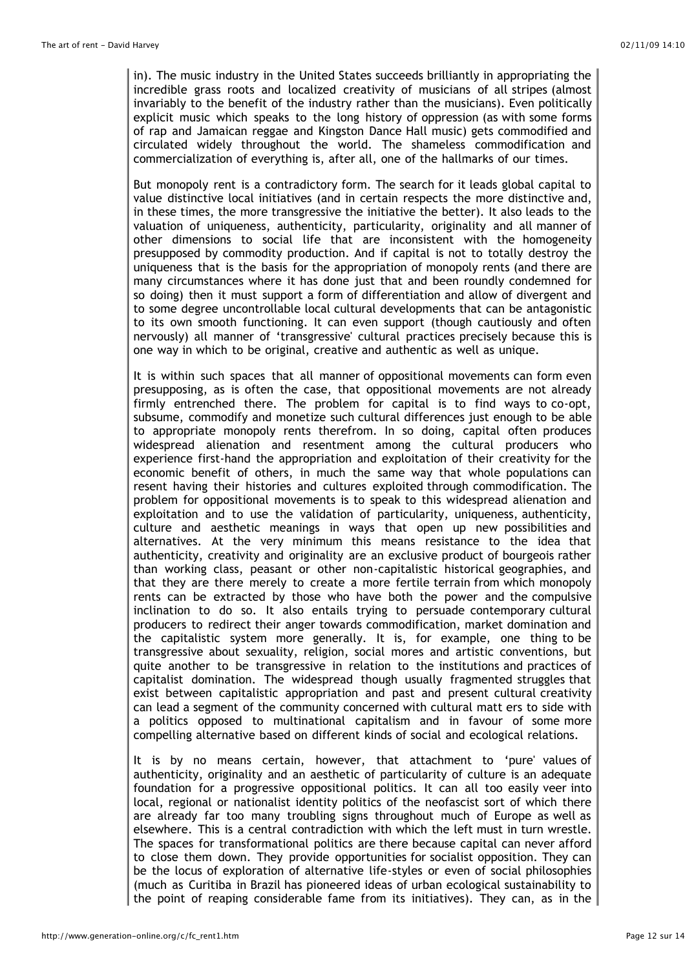in). The music industry in the United States succeeds brilliantly in appropriating the incredible grass roots and localized creativity of musicians of all stripes (almost invariably to the benefit of the industry rather than the musicians). Even politically explicit music which speaks to the long history of oppression (as with some forms of rap and Jamaican reggae and Kingston Dance Hall music) gets commodified and circulated widely throughout the world. The shameless commodification and commercialization of everything is, after all, one of the hallmarks of our times.

But monopoly rent is a contradictory form. The search for it leads global capital to value distinctive local initiatives (and in certain respects the more distinctive and, in these times, the more transgressive the initiative the better). It also leads to the valuation of uniqueness, authenticity, particularity, originality and all manner of other dimensions to social life that are inconsistent with the homogeneity presupposed by commodity production. And if capital is not to totally destroy the uniqueness that is the basis for the appropriation of monopoly rents (and there are many circumstances where it has done just that and been roundly condemned for so doing) then it must support a form of differentiation and allow of divergent and to some degree uncontrollable local cultural developments that can be antagonistic to its own smooth functioning. It can even support (though cautiously and often nervously) all manner of 'transgressive' cultural practices precisely because this is one way in which to be original, creative and authentic as well as unique.

It is within such spaces that all manner of oppositional movements can form even presupposing, as is often the case, that oppositional movements are not already firmly entrenched there. The problem for capital is to find ways to co-opt, subsume, commodify and monetize such cultural differences just enough to be able to appropriate monopoly rents therefrom. In so doing, capital often produces widespread alienation and resentment among the cultural producers who experience first-hand the appropriation and exploitation of their creativity for the economic benefit of others, in much the same way that whole populations can resent having their histories and cultures exploited through commodification. The problem for oppositional movements is to speak to this widespread alienation and exploitation and to use the validation of particularity, uniqueness, authenticity, culture and aesthetic meanings in ways that open up new possibilities and alternatives. At the very minimum this means resistance to the idea that authenticity, creativity and originality are an exclusive product of bourgeois rather than working class, peasant or other non-capitalistic historical geographies, and that they are there merely to create a more fertile terrain from which monopoly rents can be extracted by those who have both the power and the compulsive inclination to do so. It also entails trying to persuade contemporary cultural producers to redirect their anger towards commodification, market domination and the capitalistic system more generally. It is, for example, one thing to be transgressive about sexuality, religion, social mores and artistic conventions, but quite another to be transgressive in relation to the institutions and practices of capitalist domination. The widespread though usually fragmented struggles that exist between capitalistic appropriation and past and present cultural creativity can lead a segment of the community concerned with cultural matt ers to side with a politics opposed to multinational capitalism and in favour of some more compelling alternative based on different kinds of social and ecological relations.

It is by no means certain, however, that attachment to 'pure' values of authenticity, originality and an aesthetic of particularity of culture is an adequate foundation for a progressive oppositional politics. It can all too easily veer into local, regional or nationalist identity politics of the neofascist sort of which there are already far too many troubling signs throughout much of Europe as well as elsewhere. This is a central contradiction with which the left must in turn wrestle. The spaces for transformational politics are there because capital can never afford to close them down. They provide opportunities for socialist opposition. They can be the locus of exploration of alternative life-styles or even of social philosophies (much as Curitiba in Brazil has pioneered ideas of urban ecological sustainability to the point of reaping considerable fame from its initiatives). They can, as in the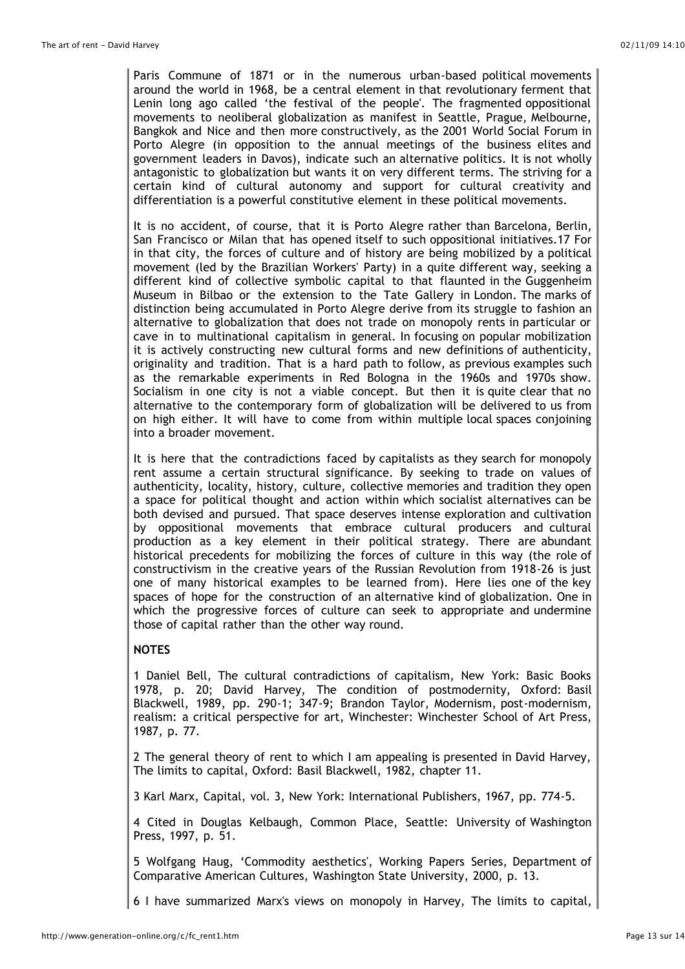Paris Commune of 1871 or in the numerous urban-based political movements around the world in 1968, be a central element in that revolutionary ferment that Lenin long ago called 'the festival of the people'. The fragmented oppositional movements to neoliberal globalization as manifest in Seattle, Prague, Melbourne, Bangkok and Nice and then more constructively, as the 2001 World Social Forum in Porto Alegre (in opposition to the annual meetings of the business elites and government leaders in Davos), indicate such an alternative politics. It is not wholly antagonistic to globalization but wants it on very different terms. The striving for a certain kind of cultural autonomy and support for cultural creativity and differentiation is a powerful constitutive element in these political movements.

It is no accident, of course, that it is Porto Alegre rather than Barcelona, Berlin, San Francisco or Milan that has opened itself to such oppositional initiatives.17 For in that city, the forces of culture and of history are being mobilized by a political movement (led by the Brazilian Workers' Party) in a quite different way, seeking a different kind of collective symbolic capital to that flaunted in the Guggenheim Museum in Bilbao or the extension to the Tate Gallery in London. The marks of distinction being accumulated in Porto Alegre derive from its struggle to fashion an alternative to globalization that does not trade on monopoly rents in particular or cave in to multinational capitalism in general. In focusing on popular mobilization it is actively constructing new cultural forms and new definitions of authenticity, originality and tradition. That is a hard path to follow, as previous examples such as the remarkable experiments in Red Bologna in the 1960s and 1970s show. Socialism in one city is not a viable concept. But then it is quite clear that no alternative to the contemporary form of globalization will be delivered to us from on high either. It will have to come from within multiple local spaces conjoining into a broader movement.

It is here that the contradictions faced by capitalists as they search for monopoly rent assume a certain structural significance. By seeking to trade on values of authenticity, locality, history, culture, collective memories and tradition they open a space for political thought and action within which socialist alternatives can be both devised and pursued. That space deserves intense exploration and cultivation by oppositional movements that embrace cultural producers and cultural production as a key element in their political strategy. There are abundant historical precedents for mobilizing the forces of culture in this way (the role of constructivism in the creative years of the Russian Revolution from 1918-26 is just one of many historical examples to be learned from). Here lies one of the key spaces of hope for the construction of an alternative kind of globalization. One in which the progressive forces of culture can seek to appropriate and undermine those of capital rather than the other way round.

### **NOTES**

1 Daniel Bell, The cultural contradictions of capitalism, New York: Basic Books 1978, p. 20; David Harvey, The condition of postmodernity, Oxford: Basil Blackwell, 1989, pp. 290-1; 347-9; Brandon Taylor, Modernism, post-modernism, realism: a critical perspective for art, Winchester: Winchester School of Art Press, 1987, p. 77.

2 The general theory of rent to which I am appealing is presented in David Harvey, The limits to capital, Oxford: Basil Blackwell, 1982, chapter 11.

3 Karl Marx, Capital, vol. 3, New York: International Publishers, 1967, pp. 774-5.

4 Cited in Douglas Kelbaugh, Common Place, Seattle: University of Washington Press, 1997, p. 51.

5 Wolfgang Haug, 'Commodity aesthetics', Working Papers Series, Department of Comparative American Cultures, Washington State University, 2000, p. 13.

6 I have summarized Marx's views on monopoly in Harvey, The limits to capital,